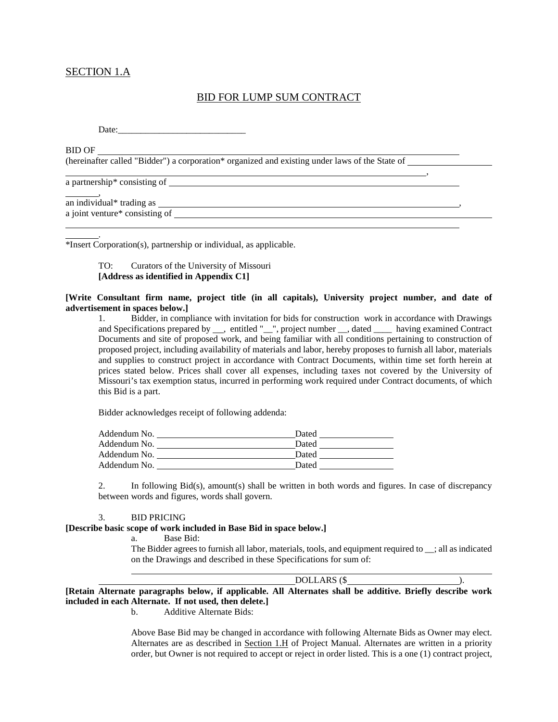# SECTION 1.A

# BID FOR LUMP SUM CONTRACT

,

Date:

BID OF

(hereinafter called "Bidder") a corporation\* organized and existing under laws of the State of

a partnership\* consisting of

.

, an individual\* trading as , a joint venture\* consisting of  $\frac{1}{\sqrt{2}}$ 

\*Insert Corporation(s), partnership or individual, as applicable.

## TO: Curators of the University of Missouri **[Address as identified in Appendix C1]**

#### **[Write Consultant firm name, project title (in all capitals), University project number, and date of advertisement in spaces below.]**

1. Bidder, in compliance with invitation for bids for construction work in accordance with Drawings and Specifications prepared by \_\_\_, entitled "\_\_", project number \_\_, dated \_\_\_\_ having examined Contract Documents and site of proposed work, and being familiar with all conditions pertaining to construction of proposed project, including availability of materials and labor, hereby proposes to furnish all labor, materials and supplies to construct project in accordance with Contract Documents, within time set forth herein at prices stated below. Prices shall cover all expenses, including taxes not covered by the University of Missouri's tax exemption status, incurred in performing work required under Contract documents, of which this Bid is a part.

Bidder acknowledges receipt of following addenda:

| Addendum No. | Dated |
|--------------|-------|
| Addendum No. | Dated |
| Addendum No. | Dated |
| Addendum No. | Dated |

2. In following Bid(s), amount(s) shall be written in both words and figures. In case of discrepancy between words and figures, words shall govern.

#### 3. BID PRICING

#### **[Describe basic scope of work included in Base Bid in space below.]**

a. Base Bid:

The Bidder agrees to furnish all labor, materials, tools, and equipment required to \_\_; all as indicated on the Drawings and described in these Specifications for sum of:

DOLLARS (\$

**[Retain Alternate paragraphs below, if applicable. All Alternates shall be additive. Briefly describe work included in each Alternate. If not used, then delete.]**

b. Additive Alternate Bids:

Above Base Bid may be changed in accordance with following Alternate Bids as Owner may elect. Alternates are as described in Section 1.H of Project Manual. Alternates are written in a priority order, but Owner is not required to accept or reject in order listed. This is a one (1) contract project,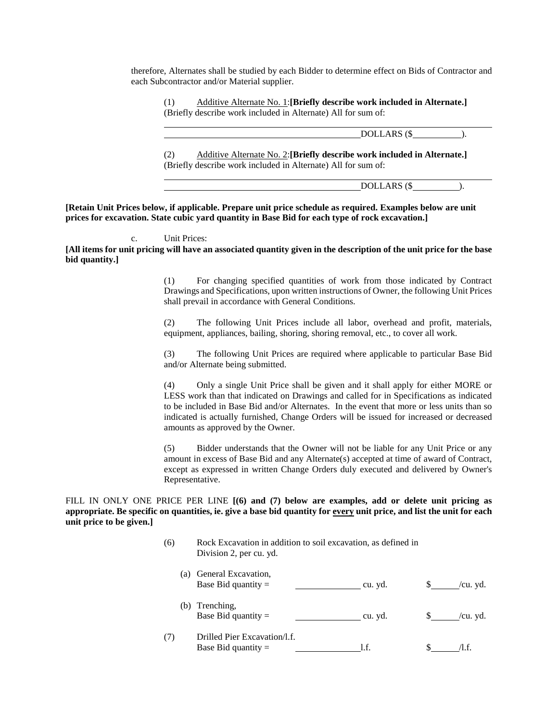therefore, Alternates shall be studied by each Bidder to determine effect on Bids of Contractor and each Subcontractor and/or Material supplier.

(1) Additive Alternate No. 1:**[Briefly describe work included in Alternate.]** (Briefly describe work included in Alternate) All for sum of:

DOLLARS (\$).

(2) Additive Alternate No. 2:**[Briefly describe work included in Alternate.]** (Briefly describe work included in Alternate) All for sum of:

DOLLARS (\$).

**[Retain Unit Prices below, if applicable. Prepare unit price schedule as required. Examples below are unit prices for excavation. State cubic yard quantity in Base Bid for each type of rock excavation.]** 

#### c. Unit Prices:

**[All items for unit pricing will have an associated quantity given in the description of the unit price for the base bid quantity.]**

> (1) For changing specified quantities of work from those indicated by Contract Drawings and Specifications, upon written instructions of Owner, the following Unit Prices shall prevail in accordance with General Conditions.

> (2) The following Unit Prices include all labor, overhead and profit, materials, equipment, appliances, bailing, shoring, shoring removal, etc., to cover all work.

> (3) The following Unit Prices are required where applicable to particular Base Bid and/or Alternate being submitted.

> (4) Only a single Unit Price shall be given and it shall apply for either MORE or LESS work than that indicated on Drawings and called for in Specifications as indicated to be included in Base Bid and/or Alternates. In the event that more or less units than so indicated is actually furnished, Change Orders will be issued for increased or decreased amounts as approved by the Owner.

> (5) Bidder understands that the Owner will not be liable for any Unit Price or any amount in excess of Base Bid and any Alternate(s) accepted at time of award of Contract, except as expressed in written Change Orders duly executed and delivered by Owner's Representative.

FILL IN ONLY ONE PRICE PER LINE **[(6) and (7) below are examples, add or delete unit pricing as appropriate. Be specific on quantities, ie. give a base bid quantity for every unit price, and list the unit for each unit price to be given.]**

> (6) Rock Excavation in addition to soil excavation, as defined in Division 2, per cu. yd.

| (a) | General Excavation,<br>Base Bid quantity $=$          | cu. yd. | /cu. yd. |
|-----|-------------------------------------------------------|---------|----------|
| (b) | Trenching,<br>Base Bid quantity $=$                   | cu. yd. | /cu. yd. |
| (7) | Drilled Pier Excavation/l.f.<br>Base Bid quantity $=$ | l.f.    |          |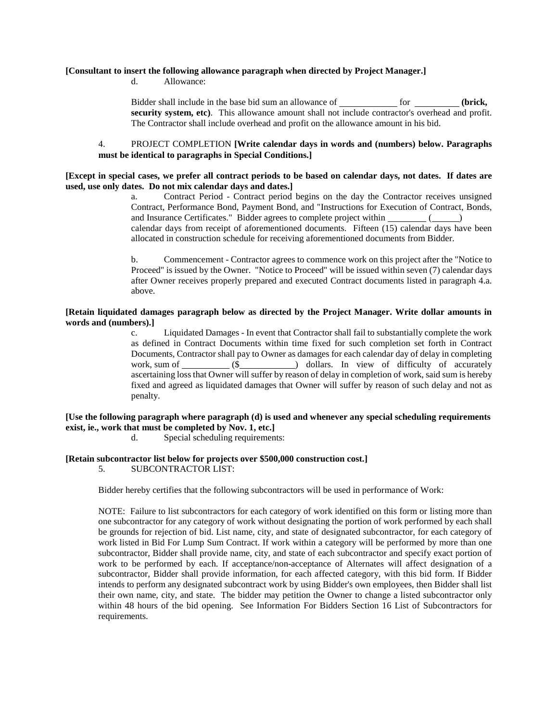#### **[Consultant to insert the following allowance paragraph when directed by Project Manager.]**

d. Allowance:

Bidder shall include in the base bid sum an allowance of <u>fore sum of</u> for **form** (brick, **security system, etc)**. This allowance amount shall not include contractor's overhead and profit. The Contractor shall include overhead and profit on the allowance amount in his bid.

### 4. PROJECT COMPLETION **[Write calendar days in words and (numbers) below. Paragraphs must be identical to paragraphs in Special Conditions.]**

### **[Except in special cases, we prefer all contract periods to be based on calendar days, not dates. If dates are used, use only dates. Do not mix calendar days and dates.]**

a. Contract Period - Contract period begins on the day the Contractor receives unsigned Contract, Performance Bond, Payment Bond, and "Instructions for Execution of Contract, Bonds, and Insurance Certificates." Bidder agrees to complete project within ( ) calendar days from receipt of aforementioned documents. Fifteen (15) calendar days have been allocated in construction schedule for receiving aforementioned documents from Bidder.

b. Commencement - Contractor agrees to commence work on this project after the "Notice to Proceed" is issued by the Owner. "Notice to Proceed" will be issued within seven (7) calendar days after Owner receives properly prepared and executed Contract documents listed in paragraph 4.a. above.

#### **[Retain liquidated damages paragraph below as directed by the Project Manager. Write dollar amounts in words and (numbers).]**

c. Liquidated Damages - In event that Contractor shall fail to substantially complete the work as defined in Contract Documents within time fixed for such completion set forth in Contract Documents, Contractor shall pay to Owner as damages for each calendar day of delay in completing work, sum of  $($  (\$  $)$  dollars. In view of difficulty of accurately ascertaining loss that Owner will suffer by reason of delay in completion of work, said sum is hereby fixed and agreed as liquidated damages that Owner will suffer by reason of such delay and not as penalty.

## **[Use the following paragraph where paragraph (d) is used and whenever any special scheduling requirements exist, ie., work that must be completed by Nov. 1, etc.]**

d. Special scheduling requirements:

#### **[Retain subcontractor list below for projects over \$500,000 construction cost.]**

5. SUBCONTRACTOR LIST:

Bidder hereby certifies that the following subcontractors will be used in performance of Work:

NOTE: Failure to list subcontractors for each category of work identified on this form or listing more than one subcontractor for any category of work without designating the portion of work performed by each shall be grounds for rejection of bid. List name, city, and state of designated subcontractor, for each category of work listed in Bid For Lump Sum Contract. If work within a category will be performed by more than one subcontractor, Bidder shall provide name, city, and state of each subcontractor and specify exact portion of work to be performed by each. If acceptance/non-acceptance of Alternates will affect designation of a subcontractor, Bidder shall provide information, for each affected category, with this bid form. If Bidder intends to perform any designated subcontract work by using Bidder's own employees, then Bidder shall list their own name, city, and state. The bidder may petition the Owner to change a listed subcontractor only within 48 hours of the bid opening. See Information For Bidders Section 16 List of Subcontractors for requirements.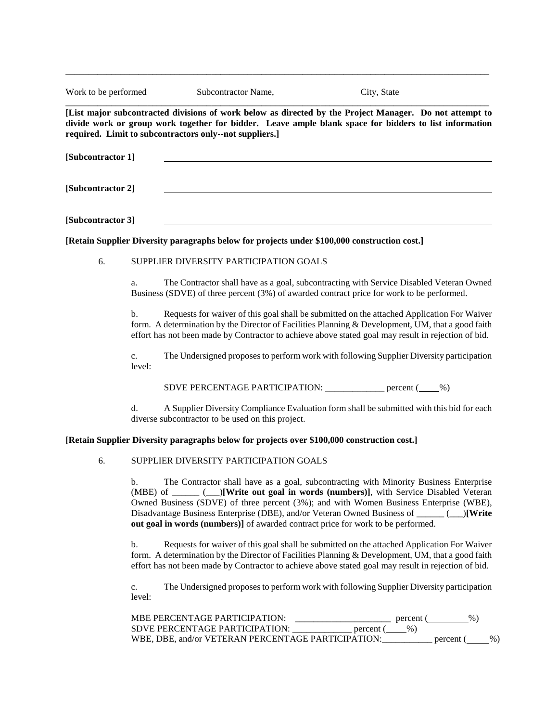| Work to be performed |              | Subcontractor Name,                                                                                                                                                                                                                                                                                                                                                                                                                                          | City, State                                                                                                                                                                                                                                                                                            |  |  |  |
|----------------------|--------------|--------------------------------------------------------------------------------------------------------------------------------------------------------------------------------------------------------------------------------------------------------------------------------------------------------------------------------------------------------------------------------------------------------------------------------------------------------------|--------------------------------------------------------------------------------------------------------------------------------------------------------------------------------------------------------------------------------------------------------------------------------------------------------|--|--|--|
|                      |              | required. Limit to subcontractors only--not suppliers.]                                                                                                                                                                                                                                                                                                                                                                                                      | [List major subcontracted divisions of work below as directed by the Project Manager. Do not attempt to<br>divide work or group work together for bidder. Leave ample blank space for bidders to list information                                                                                      |  |  |  |
| [Subcontractor 1]    |              |                                                                                                                                                                                                                                                                                                                                                                                                                                                              |                                                                                                                                                                                                                                                                                                        |  |  |  |
| [Subcontractor 2]    |              |                                                                                                                                                                                                                                                                                                                                                                                                                                                              |                                                                                                                                                                                                                                                                                                        |  |  |  |
| [Subcontractor 3]    |              |                                                                                                                                                                                                                                                                                                                                                                                                                                                              |                                                                                                                                                                                                                                                                                                        |  |  |  |
|                      |              | [Retain Supplier Diversity paragraphs below for projects under \$100,000 construction cost.]                                                                                                                                                                                                                                                                                                                                                                 |                                                                                                                                                                                                                                                                                                        |  |  |  |
| 6.                   |              | SUPPLIER DIVERSITY PARTICIPATION GOALS                                                                                                                                                                                                                                                                                                                                                                                                                       |                                                                                                                                                                                                                                                                                                        |  |  |  |
|                      | a.           |                                                                                                                                                                                                                                                                                                                                                                                                                                                              | The Contractor shall have as a goal, subcontracting with Service Disabled Veteran Owned<br>Business (SDVE) of three percent (3%) of awarded contract price for work to be performed.                                                                                                                   |  |  |  |
|                      | b.           |                                                                                                                                                                                                                                                                                                                                                                                                                                                              | Requests for waiver of this goal shall be submitted on the attached Application For Waiver<br>form. A determination by the Director of Facilities Planning & Development, UM, that a good faith<br>effort has not been made by Contractor to achieve above stated goal may result in rejection of bid. |  |  |  |
|                      | c.<br>level: |                                                                                                                                                                                                                                                                                                                                                                                                                                                              | The Undersigned proposes to perform work with following Supplier Diversity participation                                                                                                                                                                                                               |  |  |  |
|                      |              | SDVE PERCENTAGE PARTICIPATION: ___________ percent (____%)                                                                                                                                                                                                                                                                                                                                                                                                   |                                                                                                                                                                                                                                                                                                        |  |  |  |
|                      | d.           | diverse subcontractor to be used on this project.                                                                                                                                                                                                                                                                                                                                                                                                            | A Supplier Diversity Compliance Evaluation form shall be submitted with this bid for each                                                                                                                                                                                                              |  |  |  |
|                      |              | [Retain Supplier Diversity paragraphs below for projects over \$100,000 construction cost.]                                                                                                                                                                                                                                                                                                                                                                  |                                                                                                                                                                                                                                                                                                        |  |  |  |
| 6.                   |              | SUPPLIER DIVERSITY PARTICIPATION GOALS                                                                                                                                                                                                                                                                                                                                                                                                                       |                                                                                                                                                                                                                                                                                                        |  |  |  |
|                      | b.           | The Contractor shall have as a goal, subcontracting with Minority Business Enterprise<br>(MBE) of ______ (___)[Write out goal in words (numbers)], with Service Disabled Veteran<br>Owned Business (SDVE) of three percent (3%); and with Women Business Enterprise (WBE),<br>Disadvantage Business Enterprise (DBE), and/or Veteran Owned Business of ______ (__)[Write<br>out goal in words (numbers)] of awarded contract price for work to be performed. |                                                                                                                                                                                                                                                                                                        |  |  |  |
|                      | b.           | Requests for waiver of this goal shall be submitted on the attached Application For Waiver<br>form. A determination by the Director of Facilities Planning & Development, UM, that a good faith<br>effort has not been made by Contractor to achieve above stated goal may result in rejection of bid.                                                                                                                                                       |                                                                                                                                                                                                                                                                                                        |  |  |  |
|                      | c.<br>level: |                                                                                                                                                                                                                                                                                                                                                                                                                                                              | The Undersigned proposes to perform work with following Supplier Diversity participation                                                                                                                                                                                                               |  |  |  |
|                      |              | MBE PERCENTAGE PARTICIPATION:                                                                                                                                                                                                                                                                                                                                                                                                                                | $%$ )<br>$\frac{1}{2}$ percent (                                                                                                                                                                                                                                                                       |  |  |  |

\_\_\_\_\_\_\_\_\_\_\_\_\_\_\_\_\_\_\_\_\_\_\_\_\_\_\_\_\_\_\_\_\_\_\_\_\_\_\_\_\_\_\_\_\_\_\_\_\_\_\_\_\_\_\_\_\_\_\_\_\_\_\_\_\_\_\_\_\_\_\_\_\_\_\_\_\_\_\_\_\_\_\_\_\_\_\_\_\_\_\_\_\_

SDVE PERCENTAGE PARTICIPATION: \_\_\_\_\_\_\_\_\_\_\_\_\_\_ percent (\_\_\_\_%) WBE, DBE, and/or VETERAN PERCENTAGE PARTICIPATION:\_\_\_\_\_\_\_\_\_\_\_\_ percent (\_\_\_\_\_%)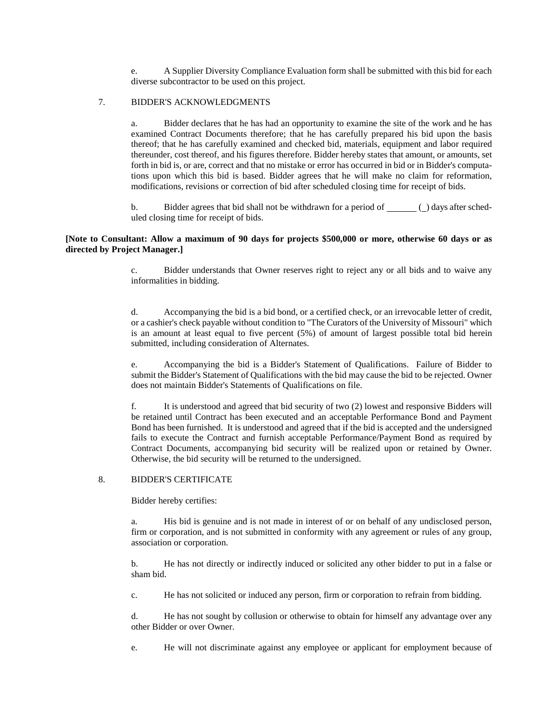e. A Supplier Diversity Compliance Evaluation form shall be submitted with this bid for each diverse subcontractor to be used on this project.

## 7. BIDDER'S ACKNOWLEDGMENTS

a. Bidder declares that he has had an opportunity to examine the site of the work and he has examined Contract Documents therefore; that he has carefully prepared his bid upon the basis thereof; that he has carefully examined and checked bid, materials, equipment and labor required thereunder, cost thereof, and his figures therefore. Bidder hereby states that amount, or amounts, set forth in bid is, or are, correct and that no mistake or error has occurred in bid or in Bidder's computations upon which this bid is based. Bidder agrees that he will make no claim for reformation, modifications, revisions or correction of bid after scheduled closing time for receipt of bids.

b. Bidder agrees that bid shall not be withdrawn for a period of ( ) days after scheduled closing time for receipt of bids.

### **[Note to Consultant: Allow a maximum of 90 days for projects \$500,000 or more, otherwise 60 days or as directed by Project Manager.]**

c. Bidder understands that Owner reserves right to reject any or all bids and to waive any informalities in bidding.

d. Accompanying the bid is a bid bond, or a certified check, or an irrevocable letter of credit, or a cashier's check payable without condition to "The Curators of the University of Missouri" which is an amount at least equal to five percent (5%) of amount of largest possible total bid herein submitted, including consideration of Alternates.

e. Accompanying the bid is a Bidder's Statement of Qualifications. Failure of Bidder to submit the Bidder's Statement of Qualifications with the bid may cause the bid to be rejected. Owner does not maintain Bidder's Statements of Qualifications on file.

f. It is understood and agreed that bid security of two (2) lowest and responsive Bidders will be retained until Contract has been executed and an acceptable Performance Bond and Payment Bond has been furnished. It is understood and agreed that if the bid is accepted and the undersigned fails to execute the Contract and furnish acceptable Performance/Payment Bond as required by Contract Documents, accompanying bid security will be realized upon or retained by Owner. Otherwise, the bid security will be returned to the undersigned.

## 8. BIDDER'S CERTIFICATE

Bidder hereby certifies:

a. His bid is genuine and is not made in interest of or on behalf of any undisclosed person, firm or corporation, and is not submitted in conformity with any agreement or rules of any group, association or corporation.

b. He has not directly or indirectly induced or solicited any other bidder to put in a false or sham bid.

c. He has not solicited or induced any person, firm or corporation to refrain from bidding.

d. He has not sought by collusion or otherwise to obtain for himself any advantage over any other Bidder or over Owner.

e. He will not discriminate against any employee or applicant for employment because of